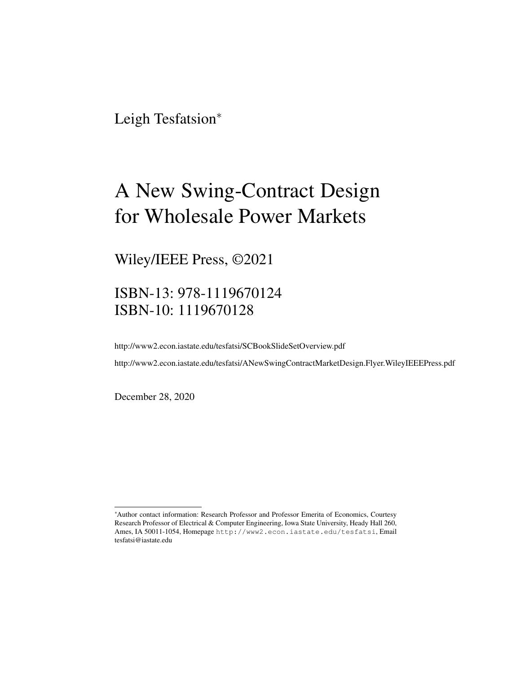Leigh Tesfatsion<sup>∗</sup>

# A New Swing-Contract Design for Wholesale Power Markets

Wiley/IEEE Press, ©2021

## ISBN-13: 978-1119670124 ISBN-10: 1119670128

http://www2.econ.iastate.edu/tesfatsi/SCBookSlideSetOverview.pdf http://www2.econ.iastate.edu/tesfatsi/ANewSwingContractMarketDesign.Flyer.WileyIEEEPress.pdf

December 28, 2020

<sup>∗</sup>Author contact information: Research Professor and Professor Emerita of Economics, Courtesy Research Professor of Electrical & Computer Engineering, Iowa State University, Heady Hall 260, Ames, IA 50011-1054, Homepage http://www2.econ.iastate.edu/tesfatsi, Email tesfatsi@iastate.edu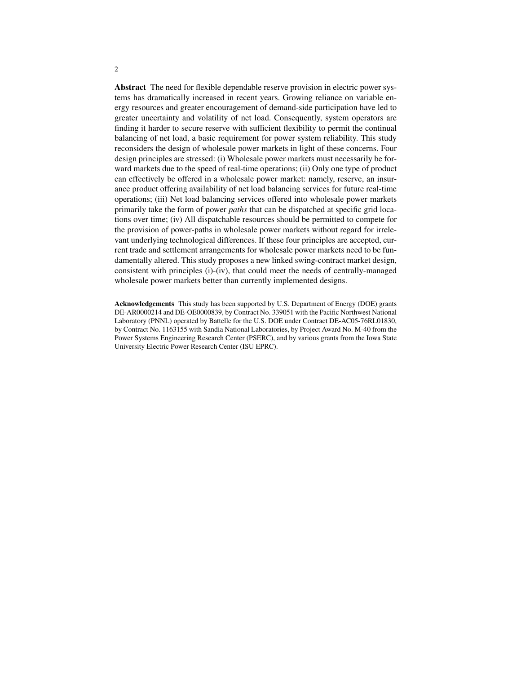Abstract The need for flexible dependable reserve provision in electric power systems has dramatically increased in recent years. Growing reliance on variable energy resources and greater encouragement of demand-side participation have led to greater uncertainty and volatility of net load. Consequently, system operators are finding it harder to secure reserve with sufficient flexibility to permit the continual balancing of net load, a basic requirement for power system reliability. This study reconsiders the design of wholesale power markets in light of these concerns. Four design principles are stressed: (i) Wholesale power markets must necessarily be forward markets due to the speed of real-time operations; (ii) Only one type of product can effectively be offered in a wholesale power market: namely, reserve, an insurance product offering availability of net load balancing services for future real-time operations; (iii) Net load balancing services offered into wholesale power markets primarily take the form of power *paths* that can be dispatched at specific grid locations over time; (iv) All dispatchable resources should be permitted to compete for the provision of power-paths in wholesale power markets without regard for irrelevant underlying technological differences. If these four principles are accepted, current trade and settlement arrangements for wholesale power markets need to be fundamentally altered. This study proposes a new linked swing-contract market design, consistent with principles (i)-(iv), that could meet the needs of centrally-managed wholesale power markets better than currently implemented designs.

Acknowledgements This study has been supported by U.S. Department of Energy (DOE) grants DE-AR0000214 and DE-OE0000839, by Contract No. 339051 with the Pacific Northwest National Laboratory (PNNL) operated by Battelle for the U.S. DOE under Contract DE-AC05-76RL01830, by Contract No. 1163155 with Sandia National Laboratories, by Project Award No. M-40 from the Power Systems Engineering Research Center (PSERC), and by various grants from the Iowa State University Electric Power Research Center (ISU EPRC).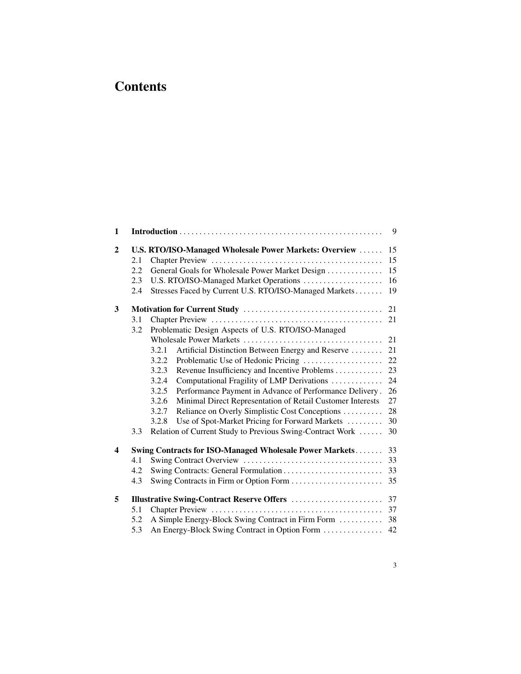### **Contents**

| 1                       |     |                                                                     | 9  |
|-------------------------|-----|---------------------------------------------------------------------|----|
| $\mathbf{2}$            |     | U.S. RTO/ISO-Managed Wholesale Power Markets: Overview              | 15 |
|                         | 2.1 |                                                                     | 15 |
|                         | 2.2 | General Goals for Wholesale Power Market Design                     | 15 |
|                         | 2.3 | U.S. RTO/ISO-Managed Market Operations                              | 16 |
|                         | 2.4 | Stresses Faced by Current U.S. RTO/ISO-Managed Markets              | 19 |
| 3                       |     |                                                                     | 21 |
|                         | 3.1 |                                                                     | 21 |
|                         | 3.2 | Problematic Design Aspects of U.S. RTO/ISO-Managed                  |    |
|                         |     |                                                                     | 21 |
|                         |     | Artificial Distinction Between Energy and Reserve<br>3.2.1          | 21 |
|                         |     | Problematic Use of Hedonic Pricing<br>3.2.2                         | 22 |
|                         |     | Revenue Insufficiency and Incentive Problems<br>3.2.3               | 23 |
|                         |     | Computational Fragility of LMP Derivations<br>3.2.4                 | 24 |
|                         |     | 3.2.5<br>Performance Payment in Advance of Performance Delivery.    | 26 |
|                         |     | Minimal Direct Representation of Retail Customer Interests<br>3.2.6 | 27 |
|                         |     | Reliance on Overly Simplistic Cost Conceptions<br>3.2.7             | 28 |
|                         |     | Use of Spot-Market Pricing for Forward Markets<br>3.2.8             | 30 |
|                         | 3.3 | Relation of Current Study to Previous Swing-Contract Work           | 30 |
| $\overline{\mathbf{4}}$ |     | Swing Contracts for ISO-Managed Wholesale Power Markets             | 33 |
|                         | 4.1 |                                                                     | 33 |
|                         | 4.2 |                                                                     | 33 |
|                         | 4.3 | Swing Contracts in Firm or Option Form                              | 35 |
| 5                       |     | <b>Illustrative Swing-Contract Reserve Offers </b>                  | 37 |
|                         | 5.1 |                                                                     | 37 |
|                         | 5.2 | A Simple Energy-Block Swing Contract in Firm Form                   | 38 |
|                         | 5.3 | An Energy-Block Swing Contract in Option Form                       | 42 |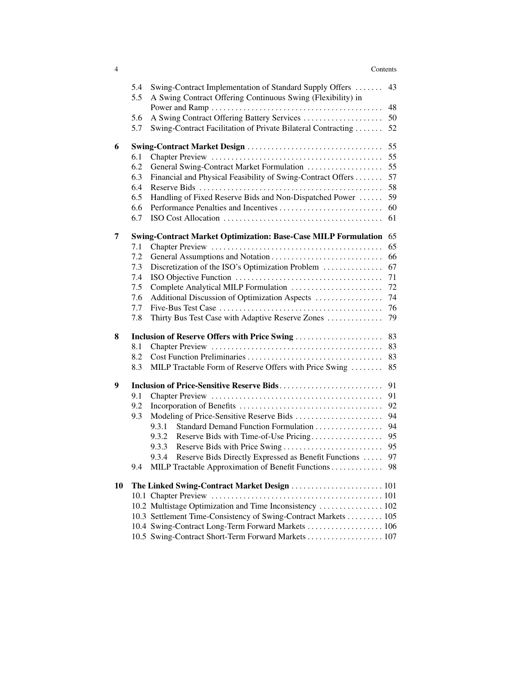|    | 5.4 | Swing-Contract Implementation of Standard Supply Offers                                                 | 43 |
|----|-----|---------------------------------------------------------------------------------------------------------|----|
|    | 5.5 | A Swing Contract Offering Continuous Swing (Flexibility) in                                             |    |
|    |     |                                                                                                         | 48 |
|    | 5.6 | A Swing Contract Offering Battery Services                                                              | 50 |
|    | 5.7 | Swing-Contract Facilitation of Private Bilateral Contracting                                            | 52 |
|    |     |                                                                                                         |    |
| 6  |     |                                                                                                         | 55 |
|    | 6.1 |                                                                                                         | 55 |
|    | 6.2 | General Swing-Contract Market Formulation                                                               | 55 |
|    | 6.3 | Financial and Physical Feasibility of Swing-Contract Offers                                             | 57 |
|    | 6.4 |                                                                                                         | 58 |
|    | 6.5 | Handling of Fixed Reserve Bids and Non-Dispatched Power                                                 | 59 |
|    | 6.6 |                                                                                                         | 60 |
|    | 6.7 |                                                                                                         | 61 |
|    |     |                                                                                                         |    |
| 7  |     | <b>Swing-Contract Market Optimization: Base-Case MILP Formulation</b>                                   | 65 |
|    | 7.1 |                                                                                                         | 65 |
|    | 7.2 |                                                                                                         | 66 |
|    | 7.3 | Discretization of the ISO's Optimization Problem                                                        | 67 |
|    | 7.4 |                                                                                                         | 71 |
|    | 7.5 | Complete Analytical MILP Formulation                                                                    | 72 |
|    | 7.6 | Additional Discussion of Optimization Aspects                                                           | 74 |
|    | 7.7 |                                                                                                         | 76 |
|    | 7.8 | Thirty Bus Test Case with Adaptive Reserve Zones                                                        | 79 |
|    |     |                                                                                                         |    |
| 8  |     |                                                                                                         | 83 |
|    | 8.1 | Inclusion of Reserve Offers with Price Swing                                                            | 83 |
|    | 8.2 |                                                                                                         |    |
|    | 8.3 |                                                                                                         | 83 |
|    |     | MILP Tractable Form of Reserve Offers with Price Swing                                                  | 85 |
| 9  |     |                                                                                                         | 91 |
|    | 9.1 |                                                                                                         | 91 |
|    | 9.2 |                                                                                                         | 92 |
|    | 9.3 | Modeling of Price-Sensitive Reserve Bids                                                                | 94 |
|    |     | Standard Demand Function Formulation<br>9.3.1                                                           | 94 |
|    |     | 9.3.2<br>Reserve Bids with Time-of-Use Pricing                                                          | 95 |
|    |     | Reserve Bids with Price Swing<br>9.3.3                                                                  | 95 |
|    |     | Reserve Bids Directly Expressed as Benefit Functions<br>9.3.4                                           | 97 |
|    | 9.4 | MILP Tractable Approximation of Benefit Functions                                                       | 98 |
|    |     |                                                                                                         |    |
| 10 |     |                                                                                                         |    |
|    |     |                                                                                                         |    |
|    |     | 10.2 Multistage Optimization and Time Inconsistency  102                                                |    |
|    |     | 10.3 Settlement Time-Consistency of Swing-Contract Markets 105                                          |    |
|    |     | 10.4 Swing-Contract Long-Term Forward Markets 106<br>10.5 Swing-Contract Short-Term Forward Markets 107 |    |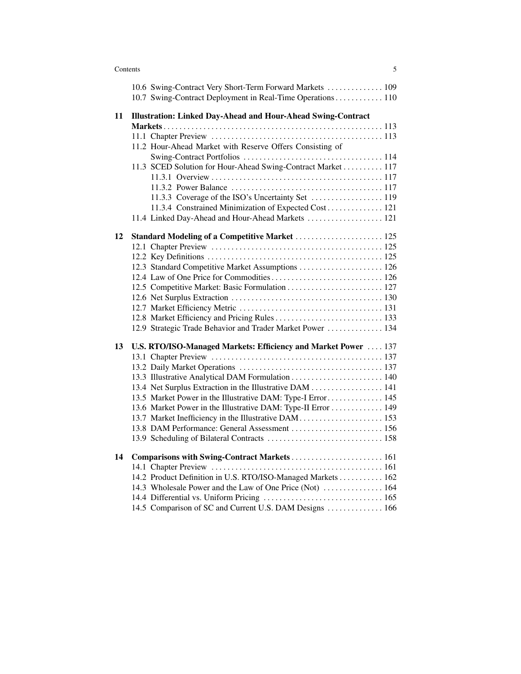#### Contents 5

|    | 10.6 Swing-Contract Very Short-Term Forward Markets  109<br>10.7 Swing-Contract Deployment in Real-Time Operations 110                                                                                                                                                                                                                                              |
|----|---------------------------------------------------------------------------------------------------------------------------------------------------------------------------------------------------------------------------------------------------------------------------------------------------------------------------------------------------------------------|
| 11 | <b>Illustration: Linked Day-Ahead and Hour-Ahead Swing-Contract</b><br>11.2 Hour-Ahead Market with Reserve Offers Consisting of<br>11.3 SCED Solution for Hour-Ahead Swing-Contract Market 117<br>11.3.4 Constrained Minimization of Expected Cost 121<br>11.4 Linked Day-Ahead and Hour-Ahead Markets  121                                                         |
| 12 | Standard Modeling of a Competitive Market  125<br>12.3 Standard Competitive Market Assumptions  126<br>12.9 Strategic Trade Behavior and Trader Market Power  134                                                                                                                                                                                                   |
| 13 | U.S. RTO/ISO-Managed Markets: Efficiency and Market Power  137<br>13.4 Net Surplus Extraction in the Illustrative DAM  141<br>13.5 Market Power in the Illustrative DAM: Type-I Error 145<br>13.6 Market Power in the Illustrative DAM: Type-II Error 149<br>13.7 Market Inefficiency in the Illustrative DAM  153<br>13.8 DAM Performance: General Assessment  156 |
| 14 | Comparisons with Swing-Contract Markets 161<br>14.2 Product Definition in U.S. RTO/ISO-Managed Markets 162<br>14.3 Wholesale Power and the Law of One Price (Not)  164<br>14.5 Comparison of SC and Current U.S. DAM Designs  166                                                                                                                                   |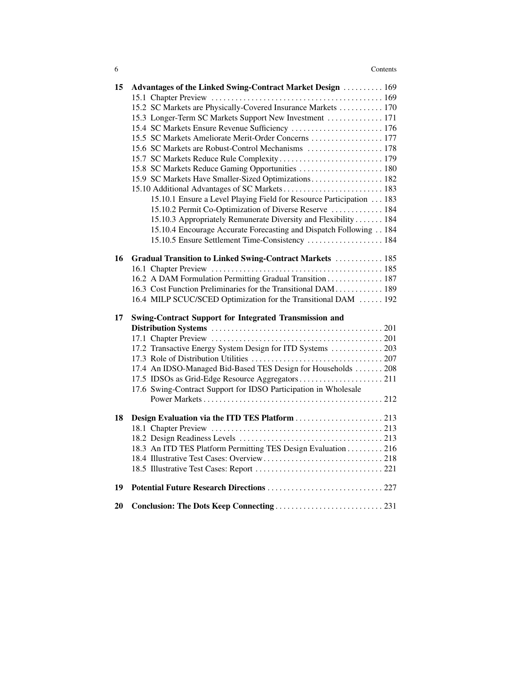| 15 | Advantages of the Linked Swing-Contract Market Design  169<br>15.2 SC Markets are Physically-Covered Insurance Markets  170<br>15.3 Longer-Term SC Markets Support New Investment  171<br>15.5 SC Markets Ameliorate Merit-Order Concerns  177<br>15.6 SC Markets are Robust-Control Mechanisms  178<br>15.8 SC Markets Reduce Gaming Opportunities  180<br>15.9 SC Markets Have Smaller-Sized Optimizations 182<br>15.10.1 Ensure a Level Playing Field for Resource Participation  183<br>15.10.2 Permit Co-Optimization of Diverse Reserve  184<br>15.10.3 Appropriately Remunerate Diversity and Flexibility 184<br>15.10.4 Encourage Accurate Forecasting and Dispatch Following 184<br>15.10.5 Ensure Settlement Time-Consistency  184 |
|----|----------------------------------------------------------------------------------------------------------------------------------------------------------------------------------------------------------------------------------------------------------------------------------------------------------------------------------------------------------------------------------------------------------------------------------------------------------------------------------------------------------------------------------------------------------------------------------------------------------------------------------------------------------------------------------------------------------------------------------------------|
| 16 | Gradual Transition to Linked Swing-Contract Markets  185<br>16.2 A DAM Formulation Permitting Gradual Transition 187<br>16.3 Cost Function Preliminaries for the Transitional DAM 189<br>16.4 MILP SCUC/SCED Optimization for the Transitional DAM  192                                                                                                                                                                                                                                                                                                                                                                                                                                                                                      |
| 17 | <b>Swing-Contract Support for Integrated Transmission and</b><br>17.2 Transactive Energy System Design for ITD Systems  203<br>17.4 An IDSO-Managed Bid-Based TES Design for Households  208<br>17.6 Swing-Contract Support for IDSO Participation in Wholesale                                                                                                                                                                                                                                                                                                                                                                                                                                                                              |
| 18 | 18.3 An ITD TES Platform Permitting TES Design Evaluation 216                                                                                                                                                                                                                                                                                                                                                                                                                                                                                                                                                                                                                                                                                |
| 19 |                                                                                                                                                                                                                                                                                                                                                                                                                                                                                                                                                                                                                                                                                                                                              |
| 20 |                                                                                                                                                                                                                                                                                                                                                                                                                                                                                                                                                                                                                                                                                                                                              |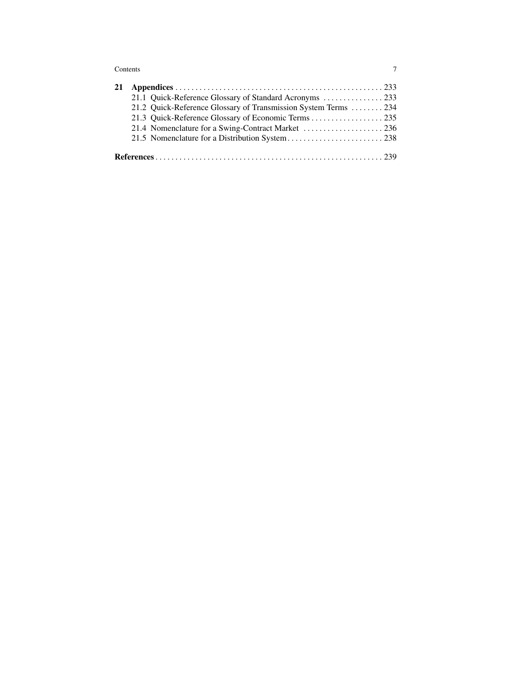#### Contents 7

| 21.1 Quick-Reference Glossary of Standard Acronyms  233         |  |
|-----------------------------------------------------------------|--|
| 21.2 Quick-Reference Glossary of Transmission System Terms  234 |  |
| 21.3 Quick-Reference Glossary of Economic Terms 235             |  |
|                                                                 |  |
|                                                                 |  |
|                                                                 |  |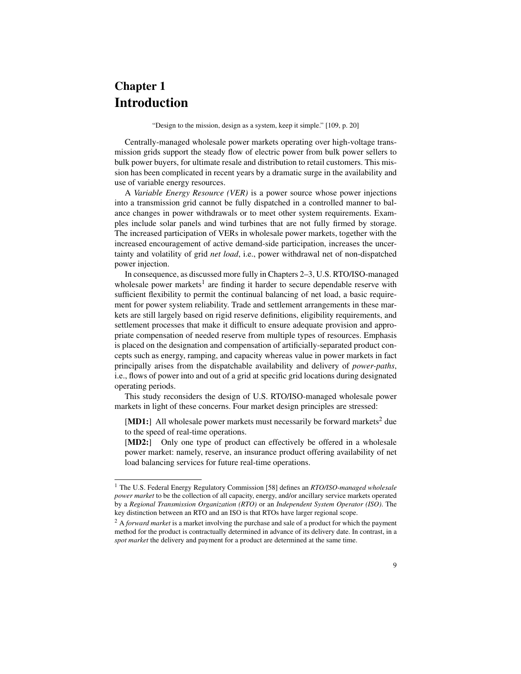### Chapter 1 Introduction

"Design to the mission, design as a system, keep it simple." [109, p. 20]

Centrally-managed wholesale power markets operating over high-voltage transmission grids support the steady flow of electric power from bulk power sellers to bulk power buyers, for ultimate resale and distribution to retail customers. This mission has been complicated in recent years by a dramatic surge in the availability and use of variable energy resources.

A *Variable Energy Resource (VER)* is a power source whose power injections into a transmission grid cannot be fully dispatched in a controlled manner to balance changes in power withdrawals or to meet other system requirements. Examples include solar panels and wind turbines that are not fully firmed by storage. The increased participation of VERs in wholesale power markets, together with the increased encouragement of active demand-side participation, increases the uncertainty and volatility of grid *net load*, i.e., power withdrawal net of non-dispatched power injection.

In consequence, as discussed more fully in Chapters 2–3, U.S. RTO/ISO-managed wholesale power markets<sup>1</sup> are finding it harder to secure dependable reserve with sufficient flexibility to permit the continual balancing of net load, a basic requirement for power system reliability. Trade and settlement arrangements in these markets are still largely based on rigid reserve definitions, eligibility requirements, and settlement processes that make it difficult to ensure adequate provision and appropriate compensation of needed reserve from multiple types of resources. Emphasis is placed on the designation and compensation of artificially-separated product concepts such as energy, ramping, and capacity whereas value in power markets in fact principally arises from the dispatchable availability and delivery of *power-paths*, i.e., flows of power into and out of a grid at specific grid locations during designated operating periods.

This study reconsiders the design of U.S. RTO/ISO-managed wholesale power markets in light of these concerns. Four market design principles are stressed:

[MD1:] All wholesale power markets must necessarily be forward markets<sup>2</sup> due to the speed of real-time operations.

[MD2:] Only one type of product can effectively be offered in a wholesale power market: namely, reserve, an insurance product offering availability of net load balancing services for future real-time operations.

<sup>1</sup> The U.S. Federal Energy Regulatory Commission [58] defines an *RTO/ISO-managed wholesale power market* to be the collection of all capacity, energy, and/or ancillary service markets operated by a *Regional Transmission Organization (RTO)* or an *Independent System Operator (ISO)*. The key distinction between an RTO and an ISO is that RTOs have larger regional scope.

<sup>2</sup> A *forward market* is a market involving the purchase and sale of a product for which the payment method for the product is contractually determined in advance of its delivery date. In contrast, in a *spot market* the delivery and payment for a product are determined at the same time.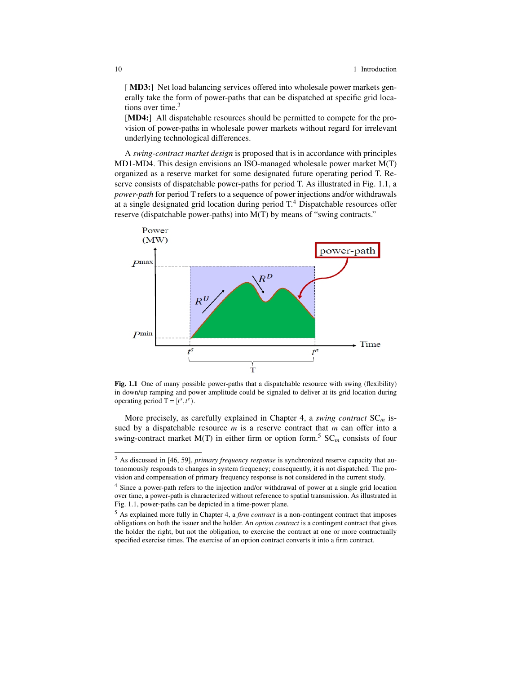[**MD3:**] Net load balancing services offered into wholesale power markets generally take the form of power-paths that can be dispatched at specific grid locations over time. $3$ 

[MD4:] All dispatchable resources should be permitted to compete for the provision of power-paths in wholesale power markets without regard for irrelevant underlying technological differences.

A *swing-contract market design* is proposed that is in accordance with principles MD1-MD4. This design envisions an ISO-managed wholesale power market M(T) organized as a reserve market for some designated future operating period T. Reserve consists of dispatchable power-paths for period T. As illustrated in Fig. 1.1, a *power-path* for period T refers to a sequence of power injections and/or withdrawals at a single designated grid location during period  $T<sup>4</sup>$  Dispatchable resources offer reserve (dispatchable power-paths) into M(T) by means of "swing contracts."



Fig. 1.1 One of many possible power-paths that a dispatchable resource with swing (flexibility) in down/up ramping and power amplitude could be signaled to deliver at its grid location during operating period  $T = [t^s, t^e]$ .

More precisely, as carefully explained in Chapter 4, a *swing contract* SC*<sup>m</sup>* issued by a dispatchable resource *m* is a reserve contract that *m* can offer into a swing-contract market M(T) in either firm or option form.<sup>5</sup>  $SC_m$  consists of four

<sup>3</sup> As discussed in [46, 59], *primary frequency response* is synchronized reserve capacity that autonomously responds to changes in system frequency; consequently, it is not dispatched. The provision and compensation of primary frequency response is not considered in the current study.

<sup>4</sup> Since a power-path refers to the injection and/or withdrawal of power at a single grid location over time, a power-path is characterized without reference to spatial transmission. As illustrated in Fig. 1.1, power-paths can be depicted in a time-power plane.

<sup>5</sup> As explained more fully in Chapter 4, a *firm contract* is a non-contingent contract that imposes obligations on both the issuer and the holder. An *option contract* is a contingent contract that gives the holder the right, but not the obligation, to exercise the contract at one or more contractually specified exercise times. The exercise of an option contract converts it into a firm contract.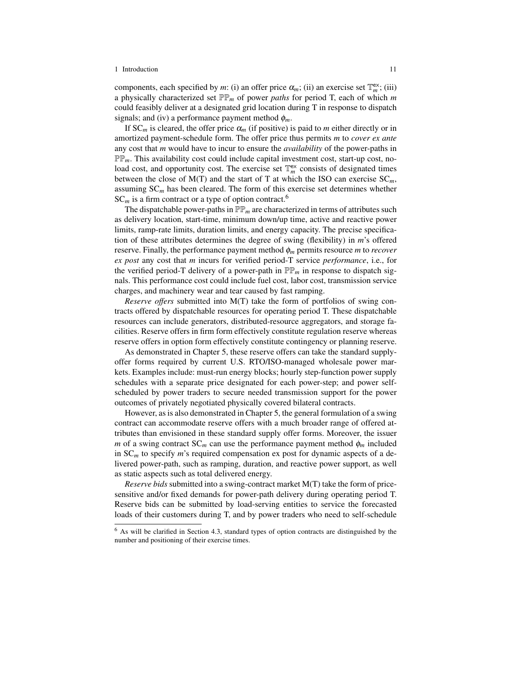#### 1 Introduction 11

components, each specified by *m*: (i) an offer price  $\alpha_m$ ; (ii) an exercise set  $\mathbb{T}_m^{\text{ex}}$ ; (iii) a physically characterized set PP*<sup>m</sup>* of power *paths* for period T, each of which *m* could feasibly deliver at a designated grid location during T in response to dispatch signals; and (iv) a performance payment method  $\phi_m$ .

If  $SC_m$  is cleared, the offer price  $\alpha_m$  (if positive) is paid to *m* either directly or in amortized payment-schedule form. The offer price thus permits *m* to *cover ex ante* any cost that *m* would have to incur to ensure the *availability* of the power-paths in  $\mathbb{PP}_m$ . This availability cost could include capital investment cost, start-up cost, noload cost, and opportunity cost. The exercise set  $\mathbb{T}_m^{\text{ex}}$  consists of designated times between the close of  $M(T)$  and the start of T at which the ISO can exercise  $SC_m$ , assuming  $SC<sub>m</sub>$  has been cleared. The form of this exercise set determines whether  $SC_m$  is a firm contract or a type of option contract.<sup>6</sup>

The dispatchable power-paths in  $\mathbb{PP}_m$  are characterized in terms of attributes such as delivery location, start-time, minimum down/up time, active and reactive power limits, ramp-rate limits, duration limits, and energy capacity. The precise specification of these attributes determines the degree of swing (flexibility) in *m*'s offered reserve. Finally, the performance payment method φ*<sup>m</sup>* permits resource *m* to *recover ex post* any cost that *m* incurs for verified period-T service *performance*, i.e., for the verified period-T delivery of a power-path in  $\mathbb{PP}_m$  in response to dispatch signals. This performance cost could include fuel cost, labor cost, transmission service charges, and machinery wear and tear caused by fast ramping.

*Reserve offers* submitted into M(T) take the form of portfolios of swing contracts offered by dispatchable resources for operating period T. These dispatchable resources can include generators, distributed-resource aggregators, and storage facilities. Reserve offers in firm form effectively constitute regulation reserve whereas reserve offers in option form effectively constitute contingency or planning reserve.

As demonstrated in Chapter 5, these reserve offers can take the standard supplyoffer forms required by current U.S. RTO/ISO-managed wholesale power markets. Examples include: must-run energy blocks; hourly step-function power supply schedules with a separate price designated for each power-step; and power selfscheduled by power traders to secure needed transmission support for the power outcomes of privately negotiated physically covered bilateral contracts.

However, as is also demonstrated in Chapter 5, the general formulation of a swing contract can accommodate reserve offers with a much broader range of offered attributes than envisioned in these standard supply offer forms. Moreover, the issuer *m* of a swing contract  $SC_m$  can use the performance payment method  $\phi_m$  included in SC*<sup>m</sup>* to specify *m*'s required compensation ex post for dynamic aspects of a delivered power-path, such as ramping, duration, and reactive power support, as well as static aspects such as total delivered energy.

*Reserve bids* submitted into a swing-contract market M(T) take the form of pricesensitive and/or fixed demands for power-path delivery during operating period T. Reserve bids can be submitted by load-serving entities to service the forecasted loads of their customers during T, and by power traders who need to self-schedule

<sup>6</sup> As will be clarified in Section 4.3, standard types of option contracts are distinguished by the number and positioning of their exercise times.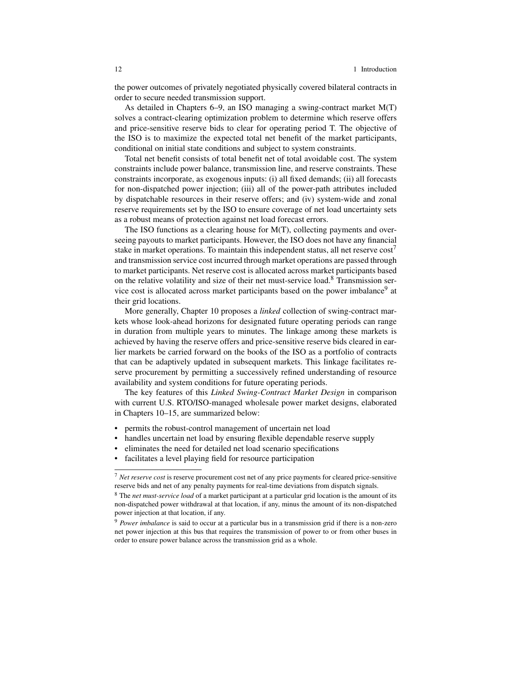the power outcomes of privately negotiated physically covered bilateral contracts in order to secure needed transmission support.

As detailed in Chapters 6–9, an ISO managing a swing-contract market M(T) solves a contract-clearing optimization problem to determine which reserve offers and price-sensitive reserve bids to clear for operating period T. The objective of the ISO is to maximize the expected total net benefit of the market participants, conditional on initial state conditions and subject to system constraints.

Total net benefit consists of total benefit net of total avoidable cost. The system constraints include power balance, transmission line, and reserve constraints. These constraints incorporate, as exogenous inputs: (i) all fixed demands; (ii) all forecasts for non-dispatched power injection; (iii) all of the power-path attributes included by dispatchable resources in their reserve offers; and (iv) system-wide and zonal reserve requirements set by the ISO to ensure coverage of net load uncertainty sets as a robust means of protection against net load forecast errors.

The ISO functions as a clearing house for M(T), collecting payments and overseeing payouts to market participants. However, the ISO does not have any financial stake in market operations. To maintain this independent status, all net reserve cost<sup>7</sup> and transmission service cost incurred through market operations are passed through to market participants. Net reserve cost is allocated across market participants based on the relative volatility and size of their net must-service load.<sup>8</sup> Transmission service cost is allocated across market participants based on the power imbalance<sup>9</sup> at their grid locations.

More generally, Chapter 10 proposes a *linked* collection of swing-contract markets whose look-ahead horizons for designated future operating periods can range in duration from multiple years to minutes. The linkage among these markets is achieved by having the reserve offers and price-sensitive reserve bids cleared in earlier markets be carried forward on the books of the ISO as a portfolio of contracts that can be adaptively updated in subsequent markets. This linkage facilitates reserve procurement by permitting a successively refined understanding of resource availability and system conditions for future operating periods.

The key features of this *Linked Swing-Contract Market Design* in comparison with current U.S. RTO/ISO-managed wholesale power market designs, elaborated in Chapters 10–15, are summarized below:

- permits the robust-control management of uncertain net load
- handles uncertain net load by ensuring flexible dependable reserve supply
- eliminates the need for detailed net load scenario specifications
- facilitates a level playing field for resource participation

<sup>7</sup> *Net reserve cost* is reserve procurement cost net of any price payments for cleared price-sensitive reserve bids and net of any penalty payments for real-time deviations from dispatch signals.

<sup>8</sup> The *net must-service load* of a market participant at a particular grid location is the amount of its non-dispatched power withdrawal at that location, if any, minus the amount of its non-dispatched power injection at that location, if any.

<sup>9</sup> *Power imbalance* is said to occur at a particular bus in a transmission grid if there is a non-zero net power injection at this bus that requires the transmission of power to or from other buses in order to ensure power balance across the transmission grid as a whole.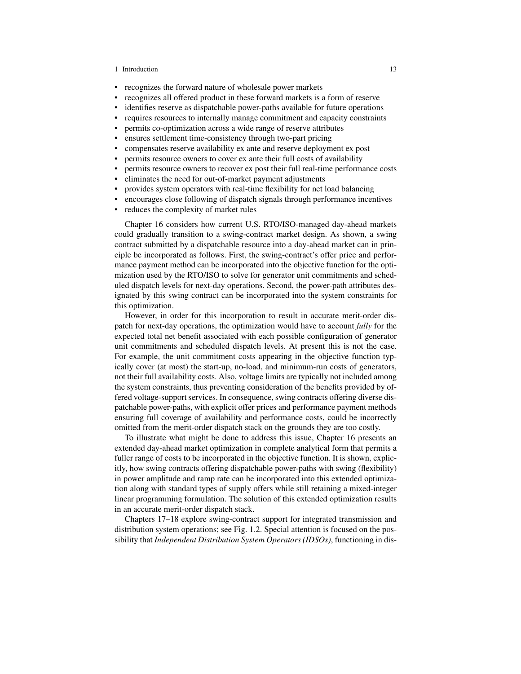#### 1 Introduction 13

- recognizes the forward nature of wholesale power markets
- recognizes all offered product in these forward markets is a form of reserve
- identifies reserve as dispatchable power-paths available for future operations
- requires resources to internally manage commitment and capacity constraints
- permits co-optimization across a wide range of reserve attributes
- ensures settlement time-consistency through two-part pricing
- compensates reserve availability ex ante and reserve deployment ex post
- permits resource owners to cover ex ante their full costs of availability
- permits resource owners to recover ex post their full real-time performance costs
- eliminates the need for out-of-market payment adjustments
- provides system operators with real-time flexibility for net load balancing
- encourages close following of dispatch signals through performance incentives
- reduces the complexity of market rules

Chapter 16 considers how current U.S. RTO/ISO-managed day-ahead markets could gradually transition to a swing-contract market design. As shown, a swing contract submitted by a dispatchable resource into a day-ahead market can in principle be incorporated as follows. First, the swing-contract's offer price and performance payment method can be incorporated into the objective function for the optimization used by the RTO/ISO to solve for generator unit commitments and scheduled dispatch levels for next-day operations. Second, the power-path attributes designated by this swing contract can be incorporated into the system constraints for this optimization.

However, in order for this incorporation to result in accurate merit-order dispatch for next-day operations, the optimization would have to account *fully* for the expected total net benefit associated with each possible configuration of generator unit commitments and scheduled dispatch levels. At present this is not the case. For example, the unit commitment costs appearing in the objective function typically cover (at most) the start-up, no-load, and minimum-run costs of generators, not their full availability costs. Also, voltage limits are typically not included among the system constraints, thus preventing consideration of the benefits provided by offered voltage-support services. In consequence, swing contracts offering diverse dispatchable power-paths, with explicit offer prices and performance payment methods ensuring full coverage of availability and performance costs, could be incorrectly omitted from the merit-order dispatch stack on the grounds they are too costly.

To illustrate what might be done to address this issue, Chapter 16 presents an extended day-ahead market optimization in complete analytical form that permits a fuller range of costs to be incorporated in the objective function. It is shown, explicitly, how swing contracts offering dispatchable power-paths with swing (flexibility) in power amplitude and ramp rate can be incorporated into this extended optimization along with standard types of supply offers while still retaining a mixed-integer linear programming formulation. The solution of this extended optimization results in an accurate merit-order dispatch stack.

Chapters 17–18 explore swing-contract support for integrated transmission and distribution system operations; see Fig. 1.2. Special attention is focused on the possibility that *Independent Distribution System Operators (IDSOs)*, functioning in dis-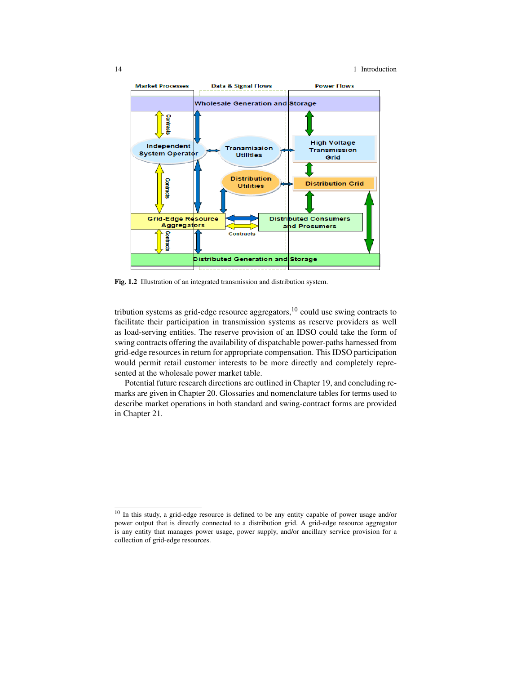

Fig. 1.2 Illustration of an integrated transmission and distribution system.

tribution systems as grid-edge resource aggregators, $^{10}$  could use swing contracts to facilitate their participation in transmission systems as reserve providers as well as load-serving entities. The reserve provision of an IDSO could take the form of swing contracts offering the availability of dispatchable power-paths harnessed from grid-edge resources in return for appropriate compensation. This IDSO participation would permit retail customer interests to be more directly and completely represented at the wholesale power market table.

Potential future research directions are outlined in Chapter 19, and concluding remarks are given in Chapter 20. Glossaries and nomenclature tables for terms used to describe market operations in both standard and swing-contract forms are provided in Chapter 21.

<sup>&</sup>lt;sup>10</sup> In this study, a grid-edge resource is defined to be any entity capable of power usage and/or power output that is directly connected to a distribution grid. A grid-edge resource aggregator is any entity that manages power usage, power supply, and/or ancillary service provision for a collection of grid-edge resources.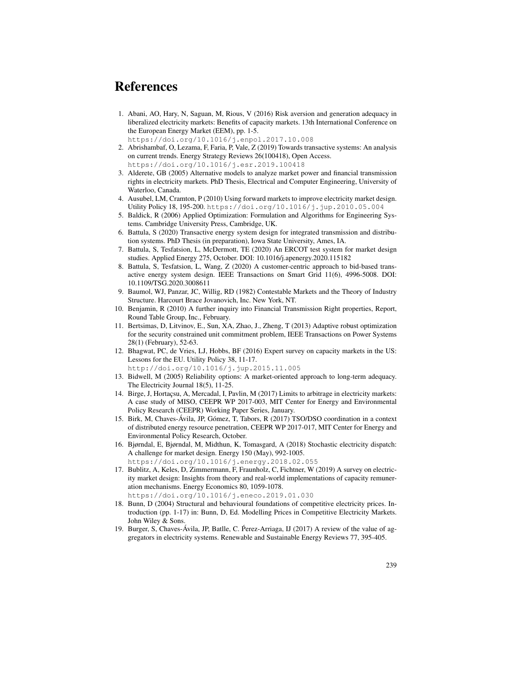- 1. Abani, AO, Hary, N, Saguan, M, Rious, V (2016) Risk aversion and generation adequacy in liberalized electricity markets: Benefits of capacity markets. 13th International Conference on the European Energy Market (EEM), pp. 1-5.
	- https://doi.org/10.1016/j.enpol.2017.10.008
- 2. Abrishambaf, O, Lezama, F, Faria, P, Vale, Z (2019) Towards transactive systems: An analysis on current trends. Energy Strategy Reviews 26(100418), Open Access.
- https://doi.org/10.1016/j.esr.2019.100418
- 3. Alderete, GB (2005) Alternative models to analyze market power and financial transmission rights in electricity markets. PhD Thesis, Electrical and Computer Engineering, University of Waterloo, Canada.
- 4. Ausubel, LM, Cramton, P (2010) Using forward markets to improve electricity market design. Utility Policy 18, 195-200. https://doi.org/10.1016/j.jup.2010.05.004
- 5. Baldick, R (2006) Applied Optimization: Formulation and Algorithms for Engineering Systems. Cambridge University Press, Cambridge, UK.
- 6. Battula, S (2020) Transactive energy system design for integrated transmission and distribution systems. PhD Thesis (in preparation), Iowa State University, Ames, IA.
- 7. Battula, S, Tesfatsion, L, McDermott, TE (2020) An ERCOT test system for market design studies. Applied Energy 275, October. DOI: 10.1016/j.apenergy.2020.115182
- 8. Battula, S, Tesfatsion, L, Wang, Z (2020) A customer-centric approach to bid-based transactive energy system design. IEEE Transactions on Smart Grid 11(6), 4996-5008. DOI: 10.1109/TSG.2020.3008611
- 9. Baumol, WJ, Panzar, JC, Willig, RD (1982) Contestable Markets and the Theory of Industry Structure. Harcourt Brace Jovanovich, Inc. New York, NT.
- 10. Benjamin, R (2010) A further inquiry into Financial Transmission Right properties, Report, Round Table Group, Inc., February.
- 11. Bertsimas, D, Litvinov, E., Sun, XA, Zhao, J., Zheng, T (2013) Adaptive robust optimization for the security constrained unit commitment problem, IEEE Transactions on Power Systems 28(1) (February), 52-63.
- 12. Bhagwat, PC, de Vries, LJ, Hobbs, BF (2016) Expert survey on capacity markets in the US: Lessons for the EU. Utility Policy 38, 11-17.
	- http://doi.org/10.1016/j.jup.2015.11.005
- 13. Bidwell, M (2005) Reliability options: A market-oriented approach to long-term adequacy. The Electricity Journal 18(5), 11-25.
- 14. Birge, J, Hortaçsu, A, Mercadal, I, Pavlin, M (2017) Limits to arbitrage in electricity markets: A case study of MISO, CEEPR WP 2017-003, MIT Center for Energy and Environmental Policy Research (CEEPR) Working Paper Series, January.
- 15. Birk, M, Chaves-Ávila, JP, Gómez, T, Tabors, R (2017) TSO/DSO coordination in a context of distributed energy resource penetration, CEEPR WP 2017-017, MIT Center for Energy and Environmental Policy Research, October.
- 16. Bjørndal, E, Bjørndal, M, Midthun, K, Tomasgard, A (2018) Stochastic electricity dispatch: A challenge for market design. Energy 150 (May), 992-1005. https://doi.org/10.1016/j.energy.2018.02.055
- 17. Bublitz, A, Keles, D, Zimmermann, F, Fraunholz, C, Fichtner, W (2019) A survey on electricity market design: Insights from theory and real-world implementations of capacity remuneration mechanisms. Energy Economics 80, 1059-1078.

https://doi.org/10.1016/j.eneco.2019.01.030

- 18. Bunn, D (2004) Structural and behavioural foundations of competitive electricity prices. Introduction (pp. 1-17) in: Bunn, D, Ed. Modelling Prices in Competitive Electricity Markets. John Wiley & Sons.
- 19. Burger, S, Chaves-Ávila, JP, Batlle, C. Perez-Arriaga, IJ (2017) A review of the value of ag- ´ gregators in electricity systems. Renewable and Sustainable Energy Reviews 77, 395-405.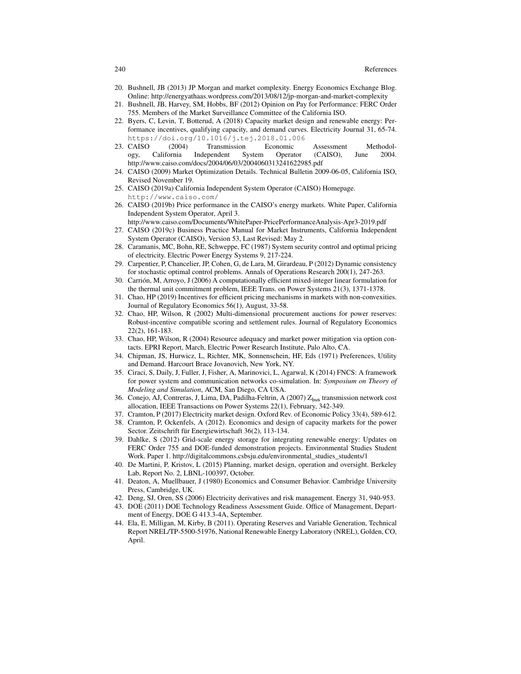- 20. Bushnell, JB (2013) JP Morgan and market complexity. Energy Economics Exchange Blog. Online: http://energyathaas.wordpress.com/2013/08/12/jp-morgan-and-market-complexity
- 21. Bushnell, JB, Harvey, SM, Hobbs, BF (2012) Opinion on Pay for Performance: FERC Order 755. Members of the Market Surveillance Committee of the California ISO.
- 22. Byers, C, Levin, T, Botterud, A (2018) Capacity market design and renewable energy: Performance incentives, qualifying capacity, and demand curves. Electricity Journal 31, 65-74. https://doi.org/10.1016/j.tej.2018.01.006
- 23. CAISO (2004) Transmission Economic Assessment Methodology, California Independent System Operator (CAISO), June 2004. http://www.caiso.com/docs/2004/06/03/2004060313241622985.pdf
- 24. CAISO (2009) Market Optimization Details. Technical Bulletin 2009-06-05, California ISO, Revised November 19.
- 25. CAISO (2019a) California Independent System Operator (CAISO) Homepage. http://www.caiso.com/
- 26. CAISO (2019b) Price performance in the CAISO's energy markets. White Paper, California Independent System Operator, April 3.
- http://www.caiso.com/Documents/WhitePaper-PricePerformanceAnalysis-Apr3-2019.pdf 27. CAISO (2019c) Business Practice Manual for Market Instruments, California Independent

System Operator (CAISO), Version 53, Last Revised: May 2.

- 28. Caramanis, MC, Bohn, RE, Schweppe, FC (1987) System security control and optimal pricing of electricity. Electric Power Energy Systems 9, 217-224.
- 29. Carpentier, P, Chancelier, JP, Cohen, G, de Lara, M, Girardeau, P (2012) Dynamic consistency for stochastic optimal control problems. Annals of Operations Research 200(1), 247-263.
- 30. Carrión, M, Arroyo, J (2006) A computationally efficient mixed-integer linear formulation for the thermal unit commitment problem, IEEE Trans. on Power Systems 21(3), 1371-1378.
- 31. Chao, HP (2019) Incentives for efficient pricing mechanisms in markets with non-convexities. Journal of Regulatory Economics 56(1), August, 33-58.
- 32. Chao, HP, Wilson, R (2002) Multi-dimensional procurement auctions for power reserves: Robust-incentive compatible scoring and settlement rules. Journal of Regulatory Economics 22(2), 161-183.
- 33. Chao, HP, Wilson, R (2004) Resource adequacy and market power mitigation via option contacts. EPRI Report, March, Electric Power Research Institute, Palo Alto, CA.
- 34. Chipman, JS, Hurwicz, L, Richter, MK, Sonnenschein, HF, Eds (1971) Preferences, Utility and Demand. Harcourt Brace Jovanovich, New York, NY.
- 35. Ciraci, S, Daily, J, Fuller, J, Fisher, A, Marinovici, L, Agarwal, K (2014) FNCS: A framework for power system and communication networks co-simulation. In: *Symposium on Theory of Modeling and Simulation*, ACM, San Diego, CA USA.
- 36. Conejo, AJ, Contreras, J, Lima, DA, Padilha-Feltrin, A (2007) Z<sub>bus</sub> transmission network cost allocation, IEEE Transactions on Power Systems 22(1), February, 342-349.
- 37. Cramton, P (2017) Electricity market design. Oxford Rev. of Economic Policy 33(4), 589-612.
- 38. Cramton, P, Ockenfels, A (2012). Economics and design of capacity markets for the power Sector. Zeitschrift für Energiewirtschaft 36(2), 113-134.
- 39. Dahlke, S (2012) Grid-scale energy storage for integrating renewable energy: Updates on FERC Order 755 and DOE-funded demonstration projects. Environmental Studies Student Work. Paper 1. http://digitalcommons.csbsju.edu/environmental\_studies\_students/1
- 40. De Martini, P, Kristov, L (2015) Planning, market design, operation and oversight. Berkeley Lab, Report No. 2, LBNL-100397, October.
- 41. Deaton, A, Muellbauer, J (1980) Economics and Consumer Behavior. Cambridge University Press, Cambridge, UK.
- 42. Deng, SJ, Oren, SS (2006) Electricity derivatives and risk management. Energy 31, 940-953.
- 43. DOE (2011) DOE Technology Readiness Assessment Guide. Office of Management, Department of Energy, DOE G 413.3-4A, September.
- 44. Ela, E, Milligan, M, Kirby, B (2011). Operating Reserves and Variable Generation, Technical Report NREL/TP-5500-51976, National Renewable Energy Laboratory (NREL), Golden, CO, April.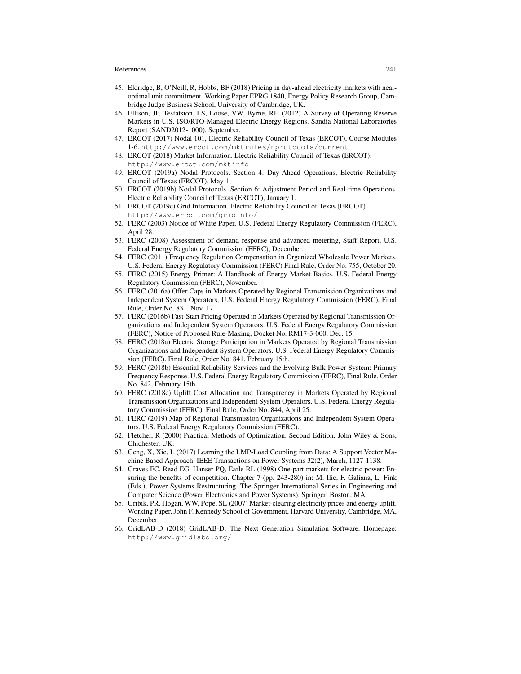- 45. Eldridge, B, O'Neill, R, Hobbs, BF (2018) Pricing in day-ahead electricity markets with nearoptimal unit commitment. Working Paper EPRG 1840, Energy Policy Research Group, Cambridge Judge Business School, University of Cambridge, UK.
- 46. Ellison, JF, Tesfatsion, LS, Loose, VW, Byrne, RH (2012) A Survey of Operating Reserve Markets in U.S. ISO/RTO-Managed Electric Energy Regions. Sandia National Laboratories Report (SAND2012-1000), September.
- 47. ERCOT (2017) Nodal 101, Electric Reliability Council of Texas (ERCOT), Course Modules 1-6. http://www.ercot.com/mktrules/nprotocols/current
- 48. ERCOT (2018) Market Information. Electric Reliability Council of Texas (ERCOT). http://www.ercot.com/mktinfo
- 49. ERCOT (2019a) Nodal Protocols. Section 4: Day-Ahead Operations, Electric Reliability Council of Texas (ERCOT), May 1.
- 50. ERCOT (2019b) Nodal Protocols. Section 6: Adjustment Period and Real-time Operations. Electric Reliability Council of Texas (ERCOT), January 1.
- 51. ERCOT (2019c) Grid Information. Electric Reliability Council of Texas (ERCOT). http://www.ercot.com/gridinfo/
- 52. FERC (2003) Notice of White Paper, U.S. Federal Energy Regulatory Commission (FERC), April 28.
- 53. FERC (2008) Assessment of demand response and advanced metering, Staff Report, U.S. Federal Energy Regulatory Commission (FERC), December.
- 54. FERC (2011) Frequency Regulation Compensation in Organized Wholesale Power Markets. U.S. Federal Energy Regulatory Commission (FERC) Final Rule, Order No. 755, October 20.
- 55. FERC (2015) Energy Primer: A Handbook of Energy Market Basics. U.S. Federal Energy Regulatory Commission (FERC), November.
- 56. FERC (2016a) Offer Caps in Markets Operated by Regional Transmission Organizations and Independent System Operators, U.S. Federal Energy Regulatory Commission (FERC), Final Rule, Order No. 831, Nov. 17
- 57. FERC (2016b) Fast-Start Pricing Operated in Markets Operated by Regional Transmission Organizations and Independent System Operators. U.S. Federal Energy Regulatory Commission (FERC), Notice of Proposed Rule-Making, Docket No. RM17-3-000, Dec. 15.
- 58. FERC (2018a) Electric Storage Participation in Markets Operated by Regional Transmission Organizations and Independent System Operators. U.S. Federal Energy Regulatory Commission (FERC). Final Rule, Order No. 841. February 15th.
- 59. FERC (2018b) Essential Reliability Services and the Evolving Bulk-Power System: Primary Frequency Response. U.S. Federal Energy Regulatory Commission (FERC), Final Rule, Order No. 842, February 15th.
- 60. FERC (2018c) Uplift Cost Allocation and Transparency in Markets Operated by Regional Transmission Organizations and Independent System Operators, U.S. Federal Energy Regulatory Commission (FERC), Final Rule, Order No. 844, April 25.
- 61. FERC (2019) Map of Regional Transmission Organizations and Independent System Operators, U.S. Federal Energy Regulatory Commission (FERC).
- 62. Fletcher, R (2000) Practical Methods of Optimization. Second Edition. John Wiley & Sons, Chichester, UK.
- 63. Geng, X, Xie, L (2017) Learning the LMP-Load Coupling from Data: A Support Vector Machine Based Approach. IEEE Transactions on Power Systems 32(2), March, 1127-1138.
- 64. Graves FC, Read EG, Hanser PQ, Earle RL (1998) One-part markets for electric power: Ensuring the benefits of competition. Chapter 7 (pp. 243-280) in: M. Ilic, F. Galiana, L. Fink (Eds.), Power Systems Restructuring. The Springer International Series in Engineering and Computer Science (Power Electronics and Power Systems). Springer, Boston, MA
- 65. Gribik, PR, Hogan, WW, Pope, SL (2007) Market-clearing electricity prices and energy uplift. Working Paper, John F. Kennedy School of Government, Harvard University, Cambridge, MA, December.
- 66. GridLAB-D (2018) GridLAB-D: The Next Generation Simulation Software. Homepage: http://www.gridlabd.org/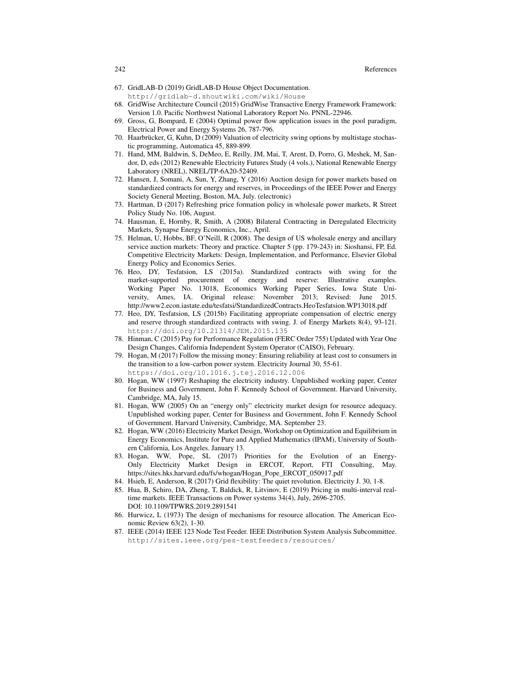- 67. GridLAB-D (2019) GridLAB-D House Object Documentation. http://gridlab-d.shoutwiki.com/wiki/House
- 68. GridWise Architecture Council (2015) GridWise Transactive Energy Framework Framework: Version 1.0. Pacific Northwest National Laboratory Report No. PNNL-22946.
- 69. Gross, G, Bompard, E (2004) Optimal power flow application issues in the pool paradigm, Electrical Power and Energy Systems 26, 787-796.
- 70. Haarbrücker, G, Kuhn, D (2009) Valuation of electricity swing options by multistage stochastic programming, Automatica 45, 889-899.
- 71. Hand, MM, Baldwin, S, DeMeo, E, Reilly, JM, Mai, T, Arent, D, Porro, G, Meshek, M, Sandor, D, eds (2012) Renewable Electricity Futures Study (4 vols.), National Renewable Energy Laboratory (NREL), NREL/TP-6A20-52409.
- 72. Hansen, J, Somani, A, Sun, Y, Zhang, Y (2016) Auction design for power markets based on standardized contracts for energy and reserves, in Proceedings of the IEEE Power and Energy Society General Meeting, Boston, MA, July. (electronic)
- 73. Hartman, D (2017) Refreshing price formation policy in wholesale power markets, R Street Policy Study No. 106, August.
- 74. Hausman, E, Hornby, R, Smith, A (2008) Bilateral Contracting in Deregulated Electricity Markets, Synapse Energy Economics, Inc., April.
- 75. Helman, U, Hobbs, BF, O'Neill, R (2008). The design of US wholesale energy and ancillary service auction markets: Theory and practice. Chapter 5 (pp. 179-243) in: Sioshansi, FP, Ed. Competitive Electricity Markets: Design, Implementation, and Performance, Elsevier Global Energy Policy and Economics Series.
- 76. Heo, DY, Tesfatsion, LS (2015a). Standardized contracts with swing for the market-supported procurement of energy and reserve: Illustrative examples. Working Paper No. 13018, Economics Working Paper Series, Iowa State University, Ames, IA. Original release: November 2013; Revised: June 2015. http://www2.econ.iastate.edu/tesfatsi/StandardizedContracts.HeoTesfatsion.WP13018.pdf
- 77. Heo, DY, Tesfatsion, LS (2015b) Facilitating appropriate compensation of electric energy and reserve through standardized contracts with swing. J. of Energy Markets 8(4), 93-121. https://doi.org/10.21314/JEM.2015.135
- 78. Hinman, C (2015) Pay for Performance Regulation (FERC Order 755) Updated with Year One Design Changes, California Independent System Operator (CAISO), February.
- 79. Hogan, M (2017) Follow the missing money: Ensuring reliability at least cost to consumers in the transition to a low-carbon power system. Electricity Journal 30, 55-61. https://doi.org/10.1016.j.tej.2016.12.006
- 80. Hogan, WW (1997) Reshaping the electricity industry. Unpublished working paper, Center
- for Business and Government, John F. Kennedy School of Government. Harvard University, Cambridge, MA, July 15.
- 81. Hogan, WW (2005) On an "energy only" electricity market design for resource adequacy. Unpublished working paper, Center for Business and Government, John F. Kennedy School of Government. Harvard University, Cambridge, MA. September 23.
- 82. Hogan, WW (2016) Electricity Market Design, Workshop on Optimization and Equilibrium in Energy Economics, Institute for Pure and Applied Mathematics (IPAM), University of Southern California, Los Angeles. January 13.
- 83. Hogan, WW, Pope, SL (2017) Priorities for the Evolution of an Energy-Only Electricity Market Design in ERCOT, Report, FTI Consulting, May. https://sites.hks.harvard.edu/fs/whogan/Hogan\_Pope\_ERCOT\_050917.pdf
- 84. Hsieh, E, Anderson, R (2017) Grid flexibility: The quiet revolution. Electricity J. 30, 1-8.
- 85. Hua, B, Schiro, DA, Zheng, T, Baldick, R, Litvinov, E (2019) Pricing in multi-interval realtime markets. IEEE Transactions on Power systems 34(4), July, 2696-2705. DOI: 10.1109/TPWRS.2019.2891541
- 86. Hurwicz, L (1973) The design of mechanisms for resource allocation. The American Economic Review 63(2), 1-30.
- 87. IEEE (2014) IEEE 123 Node Test Feeder. IEEE Distribution System Analysis Subcommittee. http://sites.ieee.org/pes-testfeeders/resources/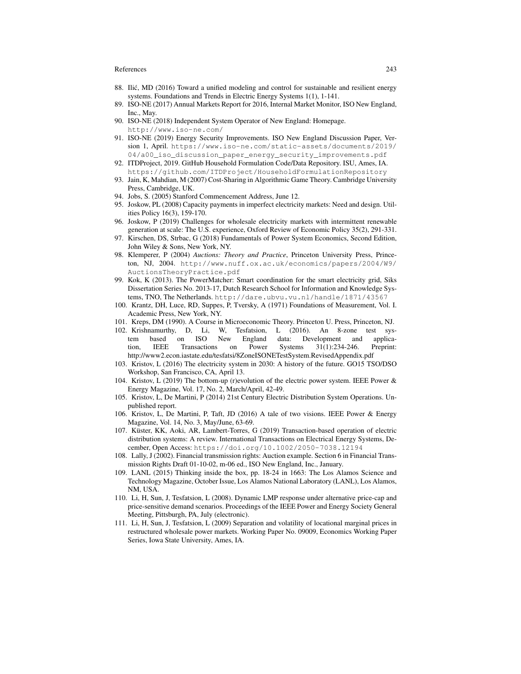- 88. Ilić, MD (2016) Toward a unified modeling and control for sustainable and resilient energy systems. Foundations and Trends in Electric Energy Systems 1(1), 1-141.
- 89. ISO-NE (2017) Annual Markets Report for 2016, Internal Market Monitor, ISO New England, Inc., May.
- 90. ISO-NE (2018) Independent System Operator of New England: Homepage. http://www.iso-ne.com/
- 91. ISO-NE (2019) Energy Security Improvements. ISO New England Discussion Paper, Version 1, April. https://www.iso-ne.com/static-assets/documents/2019/ 04/a00\_iso\_discussion\_paper\_energy\_security\_improvements.pdf
- 92. ITDProject, 2019. GitHub Household Formulation Code/Data Repository. ISU, Ames, IA. https://github.com/ITDProject/HouseholdFormulationRepository
- 93. Jain, K, Mahdian, M (2007) Cost-Sharing in Algorithmic Game Theory. Cambridge University Press, Cambridge, UK.
- 94. Jobs, S. (2005) Stanford Commencement Address, June 12.
- 95. Joskow, PL (2008) Capacity payments in imperfect electricity markets: Need and design. Utilities Policy 16(3), 159-170.
- 96. Joskow, P (2019) Challenges for wholesale electricity markets with intermittent renewable generation at scale: The U.S. experience, Oxford Review of Economic Policy 35(2), 291-331.
- 97. Kirschen, DS, Strbac, G (2018) Fundamentals of Power System Economics, Second Edition, John Wiley & Sons, New York, NY.
- 98. Klemperer, P (2004) *Auctions: Theory and Practice*, Princeton University Press, Princeton, NJ, 2004. http://www.nuff.ox.ac.uk/economics/papers/2004/W9/ AuctionsTheoryPractice.pdf
- 99. Kok, K (2013). The PowerMatcher: Smart coordination for the smart electricity grid, Siks Dissertation Series No. 2013-17, Dutch Research School for Information and Knowledge Systems, TNO, The Netherlands. http://dare.ubvu.vu.nl/handle/1871/43567
- 100. Krantz, DH, Luce, RD, Suppes, P, Tversky, A (1971) Foundations of Measurement, Vol. I. Academic Press, New York, NY.
- 101. Kreps, DM (1990). A Course in Microeconomic Theory. Princeton U. Press, Princeton, NJ.
- 102. Krishnamurthy, D, Li, W, Tesfatsion, L (2016). An 8-zone test system based on ISO New England data: Development and application, IEEE Transactions on Power Systems 31(1):234-246. Preprint: http://www2.econ.iastate.edu/tesfatsi/8ZoneISONETestSystem.RevisedAppendix.pdf
- 103. Kristov, L (2016) The electricity system in 2030: A history of the future. GO15 TSO/DSO Workshop, San Francisco, CA, April 13.
- 104. Kristov, L (2019) The bottom-up (r)evolution of the electric power system. IEEE Power & Energy Magazine, Vol. 17, No. 2, March/April, 42-49.
- 105. Kristov, L, De Martini, P (2014) 21st Century Electric Distribution System Operations. Unpublished report.
- 106. Kristov, L, De Martini, P, Taft, JD (2016) A tale of two visions. IEEE Power & Energy Magazine, Vol. 14, No. 3, May/June, 63-69.
- 107. Küster, KK, Aoki, AR, Lambert-Torres, G (2019) Transaction-based operation of electric distribution systems: A review. International Transactions on Electrical Energy Systems, December, Open Access: https://doi.org/10.1002/2050-7038.12194
- 108. Lally, J (2002). Financial transmission rights: Auction example. Section 6 in Financial Transmission Rights Draft 01-10-02, m-06 ed., ISO New England, Inc., January.
- 109. LANL (2015) Thinking inside the box, pp. 18-24 in 1663: The Los Alamos Science and Technology Magazine, October Issue, Los Alamos National Laboratory (LANL), Los Alamos, NM, USA.
- 110. Li, H, Sun, J, Tesfatsion, L (2008). Dynamic LMP response under alternative price-cap and price-sensitive demand scenarios. Proceedings of the IEEE Power and Energy Society General Meeting, Pittsburgh, PA, July (electronic).
- 111. Li, H, Sun, J, Tesfatsion, L (2009) Separation and volatility of locational marginal prices in restructured wholesale power markets. Working Paper No. 09009, Economics Working Paper Series, Iowa State University, Ames, IA.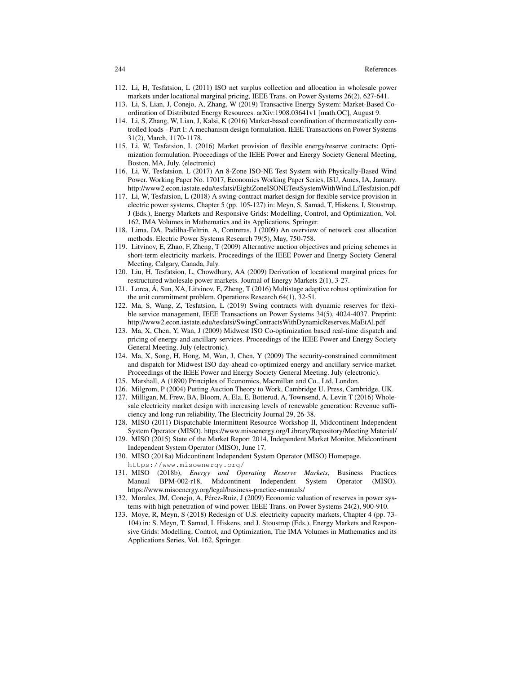- 112. Li, H, Tesfatsion, L (2011) ISO net surplus collection and allocation in wholesale power markets under locational marginal pricing, IEEE Trans. on Power Systems 26(2), 627-641.
- 113. Li, S, Lian, J, Conejo, A, Zhang, W (2019) Transactive Energy System: Market-Based Coordination of Distributed Energy Resources. arXiv:1908.03641v1 [math.OC], August 9.
- 114. Li, S, Zhang, W, Lian, J, Kalsi, K (2016) Market-based coordination of thermostatically controlled loads - Part I: A mechanism design formulation. IEEE Transactions on Power Systems 31(2), March, 1170-1178.
- 115. Li, W, Tesfatsion, L (2016) Market provision of flexible energy/reserve contracts: Optimization formulation. Proceedings of the IEEE Power and Energy Society General Meeting, Boston, MA, July. (electronic)
- 116. Li, W, Tesfatsion, L (2017) An 8-Zone ISO-NE Test System with Physically-Based Wind Power. Working Paper No. 17017, Economics Working Paper Series, ISU, Ames, IA, January. http://www2.econ.iastate.edu/tesfatsi/EightZoneISONETestSystemWithWind.LiTesfatsion.pdf
- 117. Li, W, Tesfatsion, L (2018) A swing-contract market design for flexible service provision in electric power systems, Chapter 5 (pp. 105-127) in: Meyn, S, Samad, T, Hiskens, I, Stoustrup, J (Eds.), Energy Markets and Responsive Grids: Modelling, Control, and Optimization, Vol. 162, IMA Volumes in Mathematics and its Applications, Springer.
- 118. Lima, DA, Padilha-Feltrin, A, Contreras, J (2009) An overview of network cost allocation methods. Electric Power Systems Research 79(5), May, 750-758.
- 119. Litvinov, E, Zhao, F, Zheng, T (2009) Alternative auction objectives and pricing schemes in short-term electricity markets, Proceedings of the IEEE Power and Energy Society General Meeting, Calgary, Canada, July.
- 120. Liu, H, Tesfatsion, L, Chowdhury, AA (2009) Derivation of locational marginal prices for restructured wholesale power markets. Journal of Energy Markets 2(1), 3-27.
- 121. Lorca, Á, Sun, XA, Litvinov, E, Zheng, T (2016) Multistage adaptive robust optimization for the unit commitment problem, Operations Research 64(1), 32-51.
- 122. Ma, S, Wang, Z, Tesfatsion, L (2019) Swing contracts with dynamic reserves for flexible service management, IEEE Transactions on Power Systems 34(5), 4024-4037. Preprint: http://www2.econ.iastate.edu/tesfatsi/SwingContractsWithDynamicReserves.MaEtAl.pdf
- 123. Ma, X, Chen, Y, Wan, J (2009) Midwest ISO Co-optimization based real-time dispatch and pricing of energy and ancillary services. Proceedings of the IEEE Power and Energy Society General Meeting. July (electronic).
- 124. Ma, X, Song, H, Hong, M, Wan, J, Chen, Y (2009) The security-constrained commitment and dispatch for Midwest ISO day-ahead co-optimized energy and ancillary service market. Proceedings of the IEEE Power and Energy Society General Meeting. July (electronic).
- 125. Marshall, A (1890) Principles of Economics, Macmillan and Co., Ltd, London.
- 126. Milgrom, P (2004) Putting Auction Theory to Work, Cambridge U. Press, Cambridge, UK.
- 127. Milligan, M, Frew, BA, Bloom, A, Ela, E. Botterud, A, Townsend, A, Levin T (2016) Wholesale electricity market design with increasing levels of renewable generation: Revenue sufficiency and long-run reliability, The Electricity Journal 29, 26-38.
- 128. MISO (2011) Dispatchable Intermittent Resource Workshop II, Midcontinent Independent System Operator (MISO). https://www.misoenergy.org/Library/Repository/Meeting Material/
- 129. MISO (2015) State of the Market Report 2014, Independent Market Monitor, Midcontinent Independent System Operator (MISO), June 17.
- 130. MISO (2018a) Midcontinent Independent System Operator (MISO) Homepage. https://www.misoenergy.org/
- 131. MISO (2018b), *Energy and Operating Reserve Markets*, Business Practices Manual BPM-002-r18, Midcontinent Independent System Operator (MISO). https://www.misoenergy.org/legal/business-practice-manuals/
- 132. Morales, JM, Conejo, A, Pérez-Ruiz, J (2009) Economic valuation of reserves in power systems with high penetration of wind power. IEEE Trans. on Power Systems 24(2), 900-910.
- 133. Moye, R, Meyn, S (2018) Redesign of U.S. electricity capacity markets, Chapter 4 (pp. 73- 104) in: S. Meyn, T. Samad, I. Hiskens, and J. Stoustrup (Eds.), Energy Markets and Responsive Grids: Modelling, Control, and Optimization, The IMA Volumes in Mathematics and its Applications Series, Vol. 162, Springer.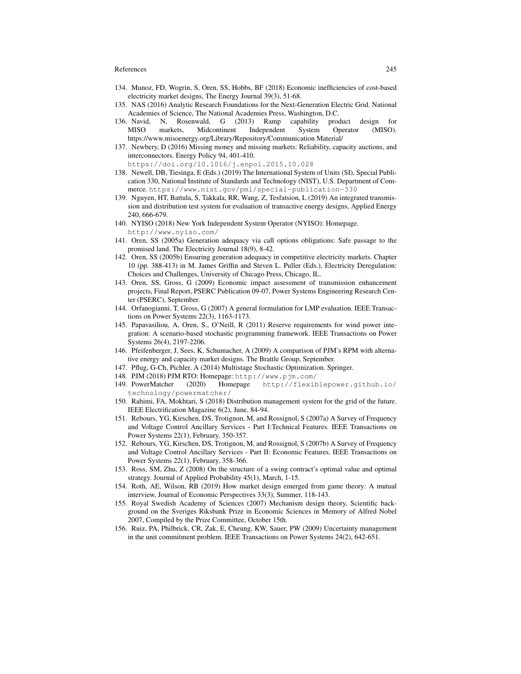- 134. Munoz, FD, Wogrin, S, Oren, SS, Hobbs, BF (2018) Economic inefficiencies of cost-based electricity market designs, The Energy Journal 39(3), 51-68.
- 135. NAS (2016) Analytic Research Foundations for the Next-Generation Electric Grid. National Academies of Science, The National Academies Press, Washington, D.C.<br>Navid, N, Rosenwald, G (2013) Ramp capability proc
- 136. Navid, N, Rosenwald, G (2013) Ramp capability product design for MISO markets, Midcontinent Independent System Operator (MISO). https://www.misoenergy.org/Library/Repository/Communication Material/
- 137. Newbery, D (2016) Missing money and missing markets: Reliability, capacity auctions, and interconnectors. Energy Policy 94, 401-410.

https://doi.org/10.1016/j.enpol.2015.10.028

- 138. Newell, DB, Tiesinga, E (Eds.) (2019) The International System of Units (SI), Special Publication 330, National Institute of Standards and Technology (NIST), U.S. Department of Commerce. https://www.nist.gov/pml/special-publication-330
- 139. Nguyen, HT, Battula, S, Takkala, RR, Wang, Z, Tesfatsion, L (2019) An integrated transmission and distribution test system for evaluation of transactive energy designs, Applied Energy 240, 666-679.
- 140. NYISO (2018) New York Independent System Operator (NYISO): Homepage.
	- http://www.nyiso.com/
- 141. Oren, SS (2005a) Generation adequacy via call options obligations: Safe passage to the promised land. The Electricity Journal 18(9), 8-42.
- 142. Oren, SS (2005b) Ensuring generation adequacy in competitive electricity markets. Chapter 10 (pp. 388-413) in M. James Griffin and Steven L. Puller (Eds.), Electricity Deregulation: Choices and Challenges, University of Chicago Press, Chicago, IL.
- 143. Oren, SS, Gross, G (2009) Economic impact assessment of transmission enhancement projects, Final Report, PSERC Publication 09-07, Power Systems Engineering Research Center (PSERC), September.
- 144. Orfanogianni, T, Gross, G (2007) A general formulation for LMP evaluation. IEEE Transactions on Power Systems 22(3), 1163-1173.
- 145. Papavasiliou, A, Oren, S., O'Neill, R (2011) Reserve requirements for wind power integration: A scenario-based stochastic programming framework. IEEE Transactions on Power Systems 26(4), 2197-2206.
- 146. Pfeifenberger, J, Sees, K, Schumacher, A (2009) A comparison of PJM's RPM with alternative energy and capacity market designs. The Brattle Group, September.
- 147. Pflug, G-Ch, Pichler, A (2014) Multistage Stochastic Optimization. Springer.
- 148. PJM (2018) PJM RTO: Homepage: http://www.pjm.com/<br>149. PowerMatcher (2020) Homepage http://flexik
- 149. PowerMatcher (2020) Homepage http://flexiblepower.github.io/ technology/powermatcher/
- 150. Rahimi, FA, Mokhtari, S (2018) Distribution management system for the grid of the future. IEEE Electrification Magazine 6(2), June, 84-94.
- 151. Rebours, YG, Kirschen, DS, Trotignon, M, and Rossignol, S (2007a) A Survey of Frequency and Voltage Control Ancillary Services - Part I:Technical Features. IEEE Transactions on Power Systems 22(1), February, 350-357.
- 152. Rebours, YG, Kirschen, DS, Trotignon, M, and Rossignol, S (2007b) A Survey of Frequency and Voltage Control Ancillary Services - Part II: Economic Features. IEEE Transactions on Power Systems 22(1), February, 358-366.
- 153. Ross, SM, Zhu, Z (2008) On the structure of a swing contract's optimal value and optimal strategy. Journal of Applied Probability 45(1), March, 1-15.
- 154. Roth, AE, Wilson, RB (2019) How market design emerged from game theory: A mutual interview, Journal of Economic Perspectives 33(3), Summer, 118-143.
- 155. Royal Swedish Academy of Sciences (2007) Mechanism design theory, Scientific background on the Sveriges Riksbank Prize in Economic Sciences in Memory of Alfred Nobel 2007, Compiled by the Prize Committee, October 15th.
- 156. Ruiz, PA, Philbrick, CR, Zak, E, Cheung, KW, Sauer, PW (2009) Uncertainty management in the unit commitment problem. IEEE Transactions on Power Systems 24(2), 642-651.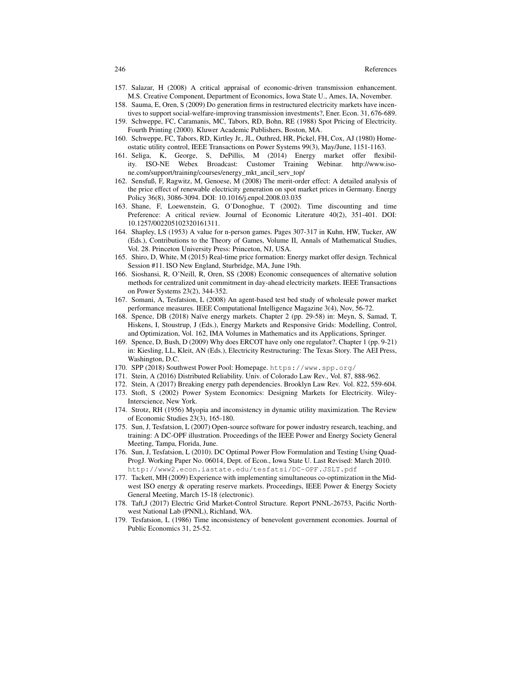- 157. Salazar, H (2008) A critical appraisal of economic-driven transmission enhancement. M.S. Creative Component, Department of Economics, Iowa State U., Ames, IA, November.
- 158. Sauma, E, Oren, S (2009) Do generation firms in restructured electricity markets have incentives to support social-welfare-improving transmission investments?, Ener. Econ. 31, 676-689.
- 159. Schweppe, FC, Caramanis, MC, Tabors, RD, Bohn, RE (1988) Spot Pricing of Electricity. Fourth Printing (2000). Kluwer Academic Publishers, Boston, MA.
- 160. Schweppe, FC, Tabors, RD, Kirtley Jr., JL, Outhred, HR, Pickel, FH, Cox, AJ (1980) Homeostatic utility control, IEEE Transactions on Power Systems 99(3), May/June, 1151-1163.
- 161. Seliga, K, George, S, DePillis, M (2014) Energy market offer flexibility. ISO-NE Webex Broadcast: Customer Training Webinar. http://www.isone.com/support/training/courses/energy\_mkt\_ancil\_serv\_top/
- 162. Sensfuß, F, Ragwitz, M, Genoese, M (2008) The merit-order effect: A detailed analysis of the price effect of renewable electricity generation on spot market prices in Germany. Energy Policy 36(8), 3086-3094. DOI: 10.1016/j.enpol.2008.03.035
- 163. Shane, F, Loewenstein, G, O'Donoghue, T (2002). Time discounting and time Preference: A critical review. Journal of Economic Literature 40(2), 351-401. DOI: 10.1257/002205102320161311.
- 164. Shapley, LS (1953) A value for n-person games. Pages 307-317 in Kuhn, HW, Tucker, AW (Eds.), Contributions to the Theory of Games, Volume II, Annals of Mathematical Studies, Vol. 28. Princeton University Press: Princeton, NJ, USA.
- 165. Shiro, D, White, M (2015) Real-time price formation: Energy market offer design. Technical Session #11. ISO New England, Sturbridge, MA, June 19th.
- 166. Sioshansi, R, O'Neill, R, Oren, SS (2008) Economic consequences of alternative solution methods for centralized unit commitment in day-ahead electricity markets. IEEE Transactions on Power Systems 23(2), 344-352.
- 167. Somani, A, Tesfatsion, L (2008) An agent-based test bed study of wholesale power market performance measures. IEEE Computational Intelligence Magazine 3(4), Nov, 56-72.
- 168. Spence, DB (2018) Naïve energy markets. Chapter 2 (pp. 29-58) in: Meyn, S, Samad, T, Hiskens, I, Stoustrup, J (Eds.), Energy Markets and Responsive Grids: Modelling, Control, and Optimization, Vol. 162, IMA Volumes in Mathematics and its Applications, Springer.
- 169. Spence, D, Bush, D (2009) Why does ERCOT have only one regulator?. Chapter 1 (pp. 9-21) in: Kiesling, LL, Kleit, AN (Eds.), Electricity Restructuring: The Texas Story. The AEI Press, Washington, D.C.
- 170. SPP (2018) Southwest Power Pool: Homepage. https://www.spp.org/
- 171. Stein, A (2016) Distributed Reliability. Univ. of Colorado Law Rev., Vol. 87, 888-962.
- 172. Stein, A (2017) Breaking energy path dependencies. Brooklyn Law Rev. Vol. 822, 559-604.
- 173. Stoft, S (2002) Power System Economics: Designing Markets for Electricity. Wiley-Interscience, New York.
- 174. Strotz, RH (1956) Myopia and inconsistency in dynamic utility maximization. The Review of Economic Studies 23(3), 165-180.
- 175. Sun, J, Tesfatsion, L (2007) Open-source software for power industry research, teaching, and training: A DC-OPF illustration. Proceedings of the IEEE Power and Energy Society General Meeting, Tampa, Florida, June.
- 176. Sun, J, Tesfatsion, L (2010). DC Optimal Power Flow Formulation and Testing Using Quad-ProgJ. Working Paper No. 06014, Dept. of Econ., Iowa State U. Last Revised: March 2010. http://www2.econ.iastate.edu/tesfatsi/DC-OPF.JSLT.pdf
- 177. Tackett, MH (2009) Experience with implementing simultaneous co-optimization in the Midwest ISO energy & operating reserve markets. Proceedings, IEEE Power & Energy Society General Meeting, March 15-18 (electronic).
- 178. Taft,J (2017) Electric Grid Market-Control Structure. Report PNNL-26753, Pacific Northwest National Lab (PNNL), Richland, WA.
- 179. Tesfatsion, L (1986) Time inconsistency of benevolent government economies. Journal of Public Economics 31, 25-52.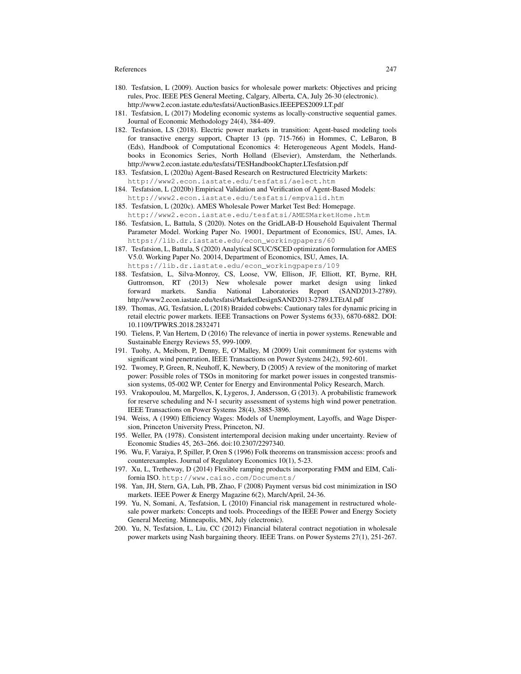- 180. Tesfatsion, L (2009). Auction basics for wholesale power markets: Objectives and pricing rules, Proc. IEEE PES General Meeting, Calgary, Alberta, CA, July 26-30 (electronic). http://www2.econ.iastate.edu/tesfatsi/AuctionBasics.IEEEPES2009.LT.pdf
- 181. Tesfatsion, L (2017) Modeling economic systems as locally-constructive sequential games. Journal of Economic Methodology 24(4), 384-409.
- 182. Tesfatsion, LS (2018). Electric power markets in transition: Agent-based modeling tools for transactive energy support, Chapter 13 (pp. 715-766) in Hommes, C, LeBaron, B (Eds), Handbook of Computational Economics 4: Heterogeneous Agent Models, Handbooks in Economics Series, North Holland (Elsevier), Amsterdam, the Netherlands. http://www2.econ.iastate.edu/tesfatsi/TESHandbookChapter.LTesfatsion.pdf
- 183. Tesfatsion, L (2020a) Agent-Based Research on Restructured Electricity Markets: http://www2.econ.iastate.edu/tesfatsi/aelect.htm
- 184. Tesfatsion, L (2020b) Empirical Validation and Verification of Agent-Based Models: http://www2.econ.iastate.edu/tesfatsi/empvalid.htm
- 185. Tesfatsion, L (2020c). AMES Wholesale Power Market Test Bed: Homepage. http://www2.econ.iastate.edu/tesfatsi/AMESMarketHome.htm
- 186. Tesfatsion, L, Battula, S (2020). Notes on the GridLAB-D Household Equivalent Thermal Parameter Model. Working Paper No. 19001, Department of Economics, ISU, Ames, IA. https://lib.dr.iastate.edu/econ\_workingpapers/60
- 187. Tesfatsion, L, Battula, S (2020) Analytical SCUC/SCED optimization formulation for AMES V5.0. Working Paper No. 20014, Department of Economics, ISU, Ames, IA. https://lib.dr.iastate.edu/econ\_workingpapers/109
- 188. Tesfatsion, L, Silva-Monroy, CS, Loose, VW, Ellison, JF, Elliott, RT, Byrne, RH, Guttromson, RT (2013) New wholesale power market design using linked forward markets. Sandia National Laboratories Report (SAND2013-2789). http://www2.econ.iastate.edu/tesfatsi/MarketDesignSAND2013-2789.LTEtAl.pdf
- 189. Thomas, AG, Tesfatsion, L (2018) Braided cobwebs: Cautionary tales for dynamic pricing in retail electric power markets. IEEE Transactions on Power Systems 6(33), 6870-6882. DOI: 10.1109/TPWRS.2018.2832471
- 190. Tielens, P, Van Hertem, D (2016) The relevance of inertia in power systems. Renewable and Sustainable Energy Reviews 55, 999-1009.
- 191. Tuohy, A, Meibom, P, Denny, E, O'Malley, M (2009) Unit commitment for systems with significant wind penetration, IEEE Transactions on Power Systems 24(2), 592-601.
- 192. Twomey, P, Green, R, Neuhoff, K, Newbery, D (2005) A review of the monitoring of market power: Possible roles of TSOs in monitoring for market power issues in congested transmission systems, 05-002 WP, Center for Energy and Environmental Policy Research, March.
- 193. Vrakopoulou, M, Margellos, K, Lygeros, J, Andersson, G (2013). A probabilistic framework for reserve scheduling and N-1 security assessment of systems high wind power penetration. IEEE Transactions on Power Systems 28(4), 3885-3896.
- 194. Weiss, A (1990) Efficiency Wages: Models of Unemployment, Layoffs, and Wage Dispersion, Princeton University Press, Princeton, NJ.
- 195. Weller, PA (1978). Consistent intertemporal decision making under uncertainty. Review of Economic Studies 45, 263–266. doi:10.2307/2297340.
- 196. Wu, F, Varaiya, P, Spiller, P, Oren S (1996) Folk theorems on transmission access: proofs and counterexamples. Journal of Regulatory Economics 10(1), 5-23.
- 197. Xu, L, Tretheway, D (2014) Flexible ramping products incorporating FMM and EIM, California ISO. http://www.caiso.com/Documents/
- 198. Yan, JH, Stern, GA, Luh, PB, Zhao, F (2008) Payment versus bid cost minimization in ISO markets. IEEE Power & Energy Magazine 6(2), March/April, 24-36.
- 199. Yu, N, Somani, A, Tesfatsion, L (2010) Financial risk management in restructured wholesale power markets: Concepts and tools. Proceedings of the IEEE Power and Energy Society General Meeting. Minneapolis, MN, July (electronic).
- 200. Yu, N, Tesfatsion, L, Liu, CC (2012) Financial bilateral contract negotiation in wholesale power markets using Nash bargaining theory. IEEE Trans. on Power Systems 27(1), 251-267.